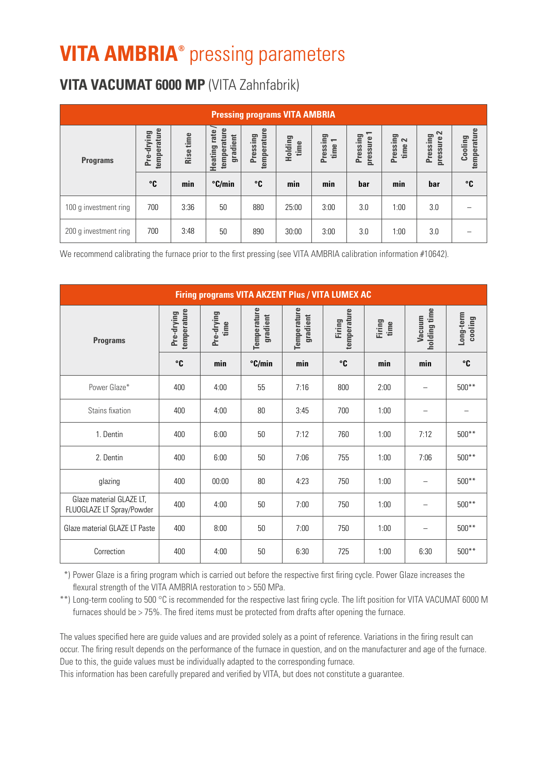## **VITA AMBRIA®** pressing parameters

## **VITA VACUMAT 6000 MP** (VITA Zahnfabrik)

| <b>Pressing programs VITA AMBRIA</b>                                                                               |                           |                           |                                         |                         |                         |                    |                        |                    |                        |                        |  |  |  |
|--------------------------------------------------------------------------------------------------------------------|---------------------------|---------------------------|-----------------------------------------|-------------------------|-------------------------|--------------------|------------------------|--------------------|------------------------|------------------------|--|--|--|
| <b>Programs</b>                                                                                                    | temperature<br>Pre-drying | Rise time                 | temperature<br>Heating rate<br>gradient | temperature<br>Pressing | Holding<br>time         | Pressing<br>time 1 | pressure 1<br>Pressing | Pressing<br>time 2 | pressure 2<br>Pressing | temperature<br>Cooling |  |  |  |
|                                                                                                                    | °C                        | min                       | °C/min                                  | °C                      | min                     | min                | bar                    | min                | bar                    | °C                     |  |  |  |
| 100 g investment ring                                                                                              | 700                       | 3:36                      | 50                                      | 880                     | 25:00                   | 3:00               | 3.0                    | 1:00               | 3.0                    |                        |  |  |  |
| 200 g investment ring                                                                                              | 700                       | 3:48                      | 50                                      | 890                     | 30:00                   | 3:00               | 3.0                    | 1:00               | 3.0                    |                        |  |  |  |
| We recommend calibrating the furnace prior to the first pressing (see VITA AMBRIA calibration information #10642). |                           |                           |                                         |                         |                         |                    |                        |                    |                        |                        |  |  |  |
| <b>Firing programs VITA AKZENT Plus / VITA LUMEX AC</b>                                                            |                           |                           |                                         |                         |                         |                    |                        |                    |                        |                        |  |  |  |
| <b>Programs</b>                                                                                                    |                           | temperature<br>Pre-drying | Pre-drying<br>time                      | Temperature<br>gradient | Temperature<br>gradient | Firing             | temperature<br>Firing  | time               | holding time<br>Vacuum | Long-term<br>cooling   |  |  |  |

| <b>Firing programs VITA AKZENT Plus / VITA LUMEX AC</b> |                           |                    |                         |                         |                       |                |                        |                      |  |  |  |  |  |
|---------------------------------------------------------|---------------------------|--------------------|-------------------------|-------------------------|-----------------------|----------------|------------------------|----------------------|--|--|--|--|--|
| <b>Programs</b>                                         | temperature<br>Pre-drying | Pre-drying<br>time | Temperature<br>gradient | Temperature<br>gradient | temperature<br>Firing | Firing<br>time | holding time<br>Vacuum | Long-term<br>cooling |  |  |  |  |  |
|                                                         | °C                        | min                | $\degree$ C/min         | min                     | $^{\circ}$ C          | min            | min                    | °C                   |  |  |  |  |  |
| Power Glaze*                                            | 400                       | 4:00               | 55                      | 7:16                    | 800                   | 2:00           |                        | $500**$              |  |  |  |  |  |
| Stains fixation                                         | 400                       | 4:00               | 80                      | 3:45                    | 700                   | 1:00           |                        |                      |  |  |  |  |  |
| 1. Dentin                                               | 400                       | 6:00               | 50                      | 7:12                    | 760                   | 1:00           | 7:12                   | $500**$              |  |  |  |  |  |
| 2. Dentin                                               | 400                       | 6:00               | 50                      | 7:06                    | 755                   | 1:00           | 7:06                   | $500**$              |  |  |  |  |  |
| glazing                                                 | 400                       | 00:00              | 80                      | 4:23                    | 750                   | 1:00           |                        | $500**$              |  |  |  |  |  |
| Glaze material GLAZE LT,<br>FLUOGLAZE LT Spray/Powder   | 400                       | 4:00               | 50                      | 7:00                    | 750                   | 1:00           |                        | $500**$              |  |  |  |  |  |
| Glaze material GLAZE LT Paste                           | 400                       | 8:00               | 50                      | 7:00                    | 750                   | 1:00           | -                      | $500**$              |  |  |  |  |  |
| Correction                                              | 400                       | 4:00               | 50                      | 6:30                    | 725                   | 1:00           | 6:30                   | $500**$              |  |  |  |  |  |

 \*) Power Glaze is a firing program which is carried out before the respective first firing cycle. Power Glaze increases the flexural strength of the VITA AMBRIA restoration to > 550 MPa.

\*\*) Long-term cooling to 500 °C is recommended for the respective last firing cycle. The lift position for VITA VACUMAT 6000 M furnaces should be > 75%. The fired items must be protected from drafts after opening the furnace.

The values specified here are guide values and are provided solely as a point of reference. Variations in the firing result can occur. The firing result depends on the performance of the furnace in question, and on the manufacturer and age of the furnace. Due to this, the guide values must be individually adapted to the corresponding furnace.

This information has been carefully prepared and verified by VITA, but does not constitute a guarantee.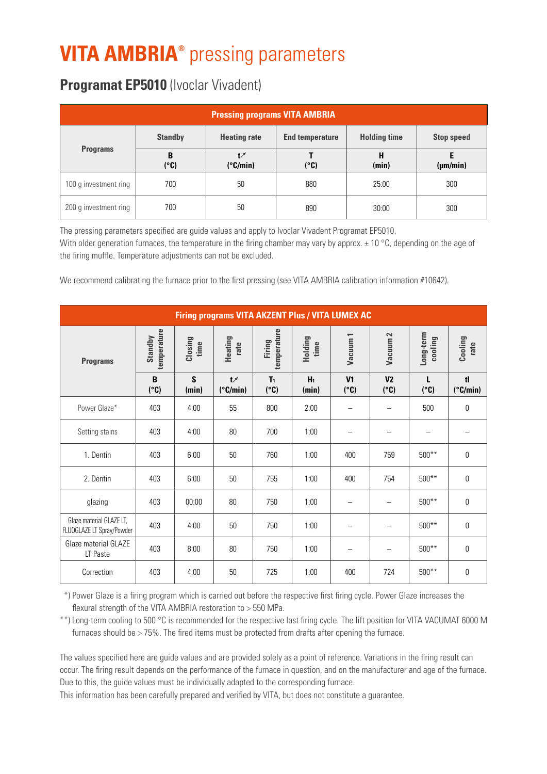## **VITA AMBRIA®** pressing parameters

**Programat EP5010** (Ivoclar Vivadent)

| <b>Pressing programs VITA AMBRIA</b> |                |                         |                        |                     |                   |  |  |  |  |  |  |  |
|--------------------------------------|----------------|-------------------------|------------------------|---------------------|-------------------|--|--|--|--|--|--|--|
| <b>Programs</b>                      | <b>Standby</b> | <b>Heating rate</b>     | <b>End temperature</b> | <b>Holding time</b> | <b>Stop speed</b> |  |  |  |  |  |  |  |
|                                      | B<br>(°C)      | t/<br>$(^{\circ}C/min)$ | (°C)                   | Н<br>(min)          | $(\mu m/min)$     |  |  |  |  |  |  |  |
| 100 g investment ring                | 700            | 50                      | 880                    | 25:00               | 300               |  |  |  |  |  |  |  |
| 200 g investment ring                | 700            | 50                      | 890                    | 30:00               | 300               |  |  |  |  |  |  |  |

The pressing parameters specified are guide values and apply to Ivoclar Vivadent Programat EP5010.

With older generation furnaces, the temperature in the firing chamber may vary by approx.  $\pm$  10 °C, depending on the age of the firing muffle. Temperature adjustments can not be excluded.

We recommend calibrating the furnace prior to the first pressing (see VITA AMBRIA calibration information #10642).

| <b>Firing programs VITA AKZENT Plus / VITA LUMEX AC</b> |                        |                 |                         |                        |                         |                        |                        |                          |                                   |  |  |  |  |
|---------------------------------------------------------|------------------------|-----------------|-------------------------|------------------------|-------------------------|------------------------|------------------------|--------------------------|-----------------------------------|--|--|--|--|
| <b>Programs</b>                                         | temperature<br>Standby | Closing<br>time | <b>Heating</b><br>rate  | temperature<br>Firing  | Holding<br>time         | Vacuum <sub>1</sub>    | Vacuum <sub>2</sub>    | Long-term<br>cooling     | Cooling<br>rate                   |  |  |  |  |
|                                                         | B<br>(°C)              | S<br>(min)      | t/<br>$(^{\circ}C/min)$ | T <sub>1</sub><br>(°C) | H <sub>1</sub><br>(min) | V <sub>1</sub><br>(°C) | V <sub>2</sub><br>(°C) | L<br>(°C)                | $\mathbf{t}$<br>$(^{\circ}C/min)$ |  |  |  |  |
| Power Glaze*                                            | 403                    | 4:00            | 55                      | 800                    | 2:00                    |                        |                        | 500                      | 0                                 |  |  |  |  |
| Setting stains                                          | 403                    | 4:00            | 80                      | 700                    | 1:00                    |                        |                        | $\overline{\phantom{0}}$ |                                   |  |  |  |  |
| 1. Dentin                                               | 403                    | 6:00            | 50                      | 760                    | 1:00                    | 400                    | 759                    | $500**$                  | $\mathbf 0$                       |  |  |  |  |
| 2. Dentin                                               | 403                    | 6:00            | 50                      | 755                    | 1:00                    | 400                    | 754                    | $500**$                  | $\boldsymbol{0}$                  |  |  |  |  |
| glazing                                                 | 403                    | 00:00           | 80                      | 750                    | 1:00                    |                        |                        | $500**$                  | $\mathbf 0$                       |  |  |  |  |
| Glaze material GLAZE LT,<br>FLUOGLAZE LT Spray/Powder   | 403                    | 4:00            | 50                      | 750                    | 1:00                    |                        |                        | $500**$                  | $\mathbf 0$                       |  |  |  |  |
| Glaze material GLAZE<br>LT Paste                        | 403                    | 8:00            | 80                      | 750                    | 1:00                    |                        |                        | $500**$                  | $\boldsymbol{0}$                  |  |  |  |  |
| Correction                                              | 403                    | 4:00            | 50                      | 725                    | 1:00                    | 400                    | 724                    | $500**$                  | 0                                 |  |  |  |  |

 \*) Power Glaze is a firing program which is carried out before the respective first firing cycle. Power Glaze increases the flexural strength of the VITA AMBRIA restoration to > 550 MPa.

\*\*) Long-term cooling to 500 °C is recommended for the respective last firing cycle. The lift position for VITA VACUMAT 6000 M furnaces should be > 75%. The fired items must be protected from drafts after opening the furnace.

The values specified here are guide values and are provided solely as a point of reference. Variations in the firing result can occur. The firing result depends on the performance of the furnace in question, and on the manufacturer and age of the furnace. Due to this, the guide values must be individually adapted to the corresponding furnace.

This information has been carefully prepared and verified by VITA, but does not constitute a guarantee.